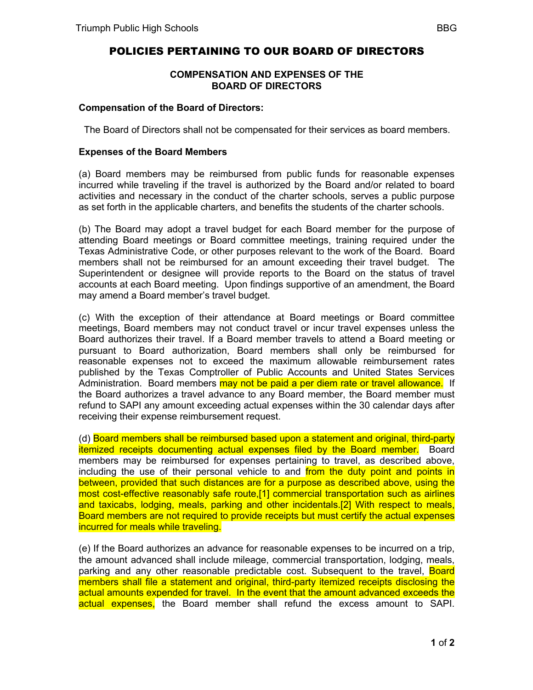## **COMPENSATION AND EXPENSES OF THE BOARD OF DIRECTORS**

## **Compensation of the Board of Directors:**

The Board of Directors shall not be compensated for their services as board members.

## **Expenses of the Board Members**

(a) Board members may be reimbursed from public funds for reasonable expenses incurred while traveling if the travel is authorized by the Board and/or related to board activities and necessary in the conduct of the charter schools, serves a public purpose as set forth in the applicable charters, and benefits the students of the charter schools.

(b) The Board may adopt a travel budget for each Board member for the purpose of attending Board meetings or Board committee meetings, training required under the Texas Administrative Code, or other purposes relevant to the work of the Board. Board members shall not be reimbursed for an amount exceeding their travel budget. The Superintendent or designee will provide reports to the Board on the status of travel accounts at each Board meeting. Upon findings supportive of an amendment, the Board may amend a Board member's travel budget.

(c) With the exception of their attendance at Board meetings or Board committee meetings, Board members may not conduct travel or incur travel expenses unless the Board authorizes their travel. If a Board member travels to attend a Board meeting or pursuant to Board authorization, Board members shall only be reimbursed for reasonable expenses not to exceed the maximum allowable reimbursement rates published by the Texas Comptroller of Public Accounts and United States Services Administration. Board members may not be paid a per diem rate or travel allowance. If the Board authorizes a travel advance to any Board member, the Board member must refund to SAPI any amount exceeding actual expenses within the 30 calendar days after receiving their expense reimbursement request.

(d) Board members shall be reimbursed based upon a statement and original, third-party itemized receipts documenting actual expenses filed by the Board member. Board members may be reimbursed for expenses pertaining to travel, as described above, including the use of their personal vehicle to and from the duty point and points in between, provided that such distances are for a purpose as described above, using the most cost-effective reasonably safe route,[1] commercial transportation such as airlines and taxicabs, lodging, meals, parking and other incidentals.[2] With respect to meals, Board members are not required to provide receipts but must certify the actual expenses incurred for meals while traveling.

(e) If the Board authorizes an advance for reasonable expenses to be incurred on a trip, the amount advanced shall include mileage, commercial transportation, lodging, meals, parking and any other reasonable predictable cost. Subsequent to the travel, **Board** members shall file a statement and original, third-party itemized receipts disclosing the actual amounts expended for travel. In the event that the amount advanced exceeds the actual expenses. the Board member shall refund the excess amount to SAPI.